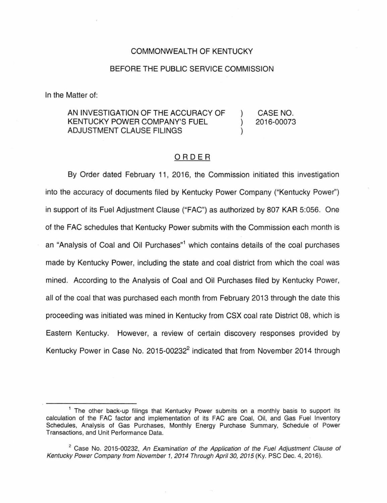### COMMONWEALTH OF KENTUCKY

## BEFORE THE PUBLIC SERVICE COMMISSION

In the Matter of:

#### AN INVESTIGATION OF THE ACCURACY OF KENTUCKY POWER COMPANY'S FUEL ADJUSTMENT CLAUSE FILINGS ) CASE NO. ) 2016-00073 )

# ORDER

By Order dated February 11, 2016, the Commission initiated this investigation into the accuracy of documents filed by Kentucky Power Company ("Kentucky Power") in support of its Fuel Adjustment Clause ("FAG") as authorized by 807 KAR 5:056. One of the FAG schedules that Kentucky Power submits with the Commission each month is an "Analysis of Coal and Oil Purchases"<sup>1</sup> which contains details of the coal purchases made by Kentucky Power, including the state and coal district from which the coal was mined. According to the Analysis of Coal and Oil Purchases filed by Kentucky Power, all of the coal that was purchased each month from February 2013 through the date this proceeding was initiated was mined in Kentucky from CSX coal rate District 08, which is Eastern Kentucky. However, a review of certain discovery responses provided by Kentucky Power in Case No. 2015-00232<sup>2</sup> indicated that from November 2014 through

<sup>&</sup>lt;sup>1</sup> The other back-up filings that Kentucky Power submits on a monthly basis to support its calculation of the FAG factor and implementation of its FAG are Coal, Oil, and Gas Fuel Inventory Schedules, Analysis of Gas Purchases, Monthly Energy Purchase Summary, Schedule of Power Transactions, and Unit Performance Data.

 $2^2$  Case No. 2015-00232, An Examination of the Application of the Fuel Adjustment Clause of Kentucky Power Company from November 1, 2014 Through April 30, 2015 (Ky. PSC Dec. 4, 2016).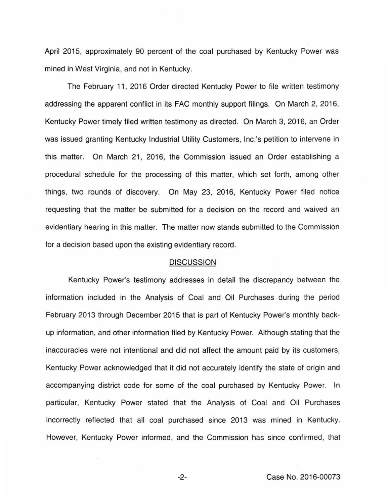April 2015, approximately 90 percent of the coal purchased by Kentucky Power was mined in West Virginia, and not in Kentucky.

The February 11, 2016 Order directed Kentucky Power to file written testimony addressing the apparent conflict in its FAC monthly support filings. On March 2, 2016, Kentucky Power timely filed written testimony as directed. On March 3, 2016, an Order was issued granting Kentucky Industrial Utility Customers, Inc.'s petition to intervene in this matter. On March 21, 2016, the Commission issued an Order establishing a procedural schedule for the processing of this matter, which set forth, among other things, two rounds of discovery. On May 23, 2016, Kentucky Power filed notice requesting that the matter be submitted for a decision on the record and waived an evidentiary hearing in this matter. The matter now stands submitted to the Commission for a decision based upon the existing evidentiary record.

### DISCUSSION

Kentucky Power's testimony addresses in detail the discrepancy between the information included in the Analysis of Coal and Oil Purchases during the period February 2013 through December 2015 that is part of Kentucky Power's monthly backup information, and other information filed by Kentucky Power. Although stating that the inaccuracies were not intentional and did not affect the amount paid by its customers, Kentucky Power acknowledged that it did not accurately identify the state of origin and accompanying district code for some of the coal purchased by Kentucky Power. In particular, Kentucky Power stated that the Analysis of Coal and Oil Purchases incorrectly reflected that all coal purchased since 2013 was mined in Kentucky. However, Kentucky Power informed, and the Commission has since confirmed, that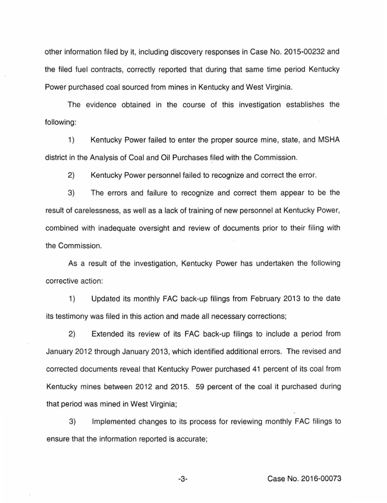other information filed by it, including discovery responses in Case No. 2015-00232 and the filed fuel contracts, correctly reported that during that same time period Kentucky Power purchased coal sourced from mines in Kentucky and West Virginia.

The evidence obtained in the course of this investigation establishes the following:

1) Kentucky Power failed to enter the proper source mine, state, and MSHA district in the Analysis of Coal and Oil Purchases filed with the Commission.

2) Kentucky Power personnel failed to recognize and correct the error.

3) The errors and failure to recognize and correct them appear to be the result of carelessness, as well as a lack of training of new personnel at Kentucky Power, combined with inadequate oversight and review of documents prior to their filing with the Commission.

As a result of the investigation, Kentucky Power has undertaken the following corrective action:

1) Updated its monthly FAC back-up filings from February 2013 to the date its testimony was filed in this action and made all necessary corrections;

2) Extended its review of its FAC back-up filings to include a period from January 2012 through January 2013, which identified additional errors. The revised and corrected documents reveal that Kentucky Power purchased 41 percent of its coal from Kentucky mines between 2012 and 2015. 59 percent of the coal it purchased during that period was mined in West Virginia;

3) Implemented changes to its process for reviewing monthly FAC filings to ensure that the information reported is accurate;

-3- Case No. 2016-00073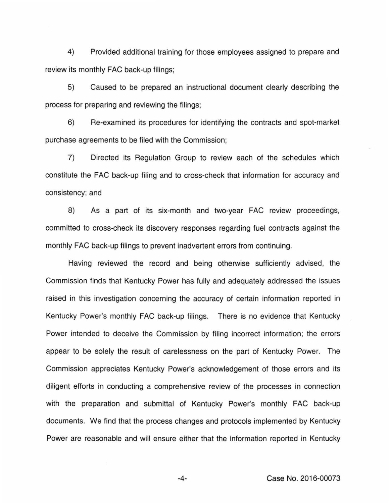4) Provided additional training for those employees assigned to prepare and review its monthly FAC back-up filings;

5) Caused to be prepared an instructional document clearly describing the process for preparing and reviewing the filings;

6) Re-examined its procedures for identifying the contracts and spot-market purchase agreements to be filed with the Commission;

7) Directed its Regulation Group to review each of the schedules which constitute the FAC back-up filing and to cross-check that information for accuracy and consistency; and

8) As a part of its six-month and two-year FAC review proceedings, committed to cross-check its discovery responses regarding fuel contracts against the monthly FAC back-up filings to prevent inadvertent errors from continuing.

Having reviewed the record and being otherwise sufficiently advised, the Commission finds that Kentucky Power has fully and adequately addressed the issues raised in this investigation concerning the accuracy of certain information reported in Kentucky Power's monthly FAC back-up filings. There is no evidence that Kentucky Power intended to deceive the Commission by filing incorrect information; the errors appear to be solely the result of carelessness on the part of Kentucky Power. The Commission appreciates Kentucky Power's acknowledgement of those errors and its diligent efforts in conducting a comprehensive review of the processes in connection with the preparation and submittal of Kentucky Power's monthly FAC back-up documents. We find that the process changes and protocols implemented by Kentucky Power are reasonable and will ensure either that the information reported in Kentucky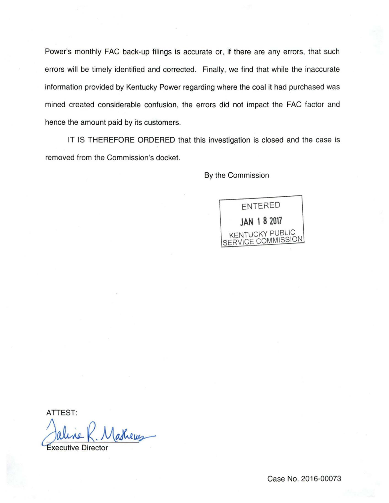Power's monthly FAC back-up filings is accurate or, if there are any errors, that such errors will be timely identified and corrected. Finally, we find that while the inaccurate information provided by Kentucky Power regarding where the coal it had purchased was mined created considerable confusion, the errors did not impact the FAC factor and hence the amount paid by its customers.

IT IS THEREFORE ORDERED that this investigation is closed and the case is removed from the Commission's docket.

By the Commission



ATTEST:

Jaline K. Mathews